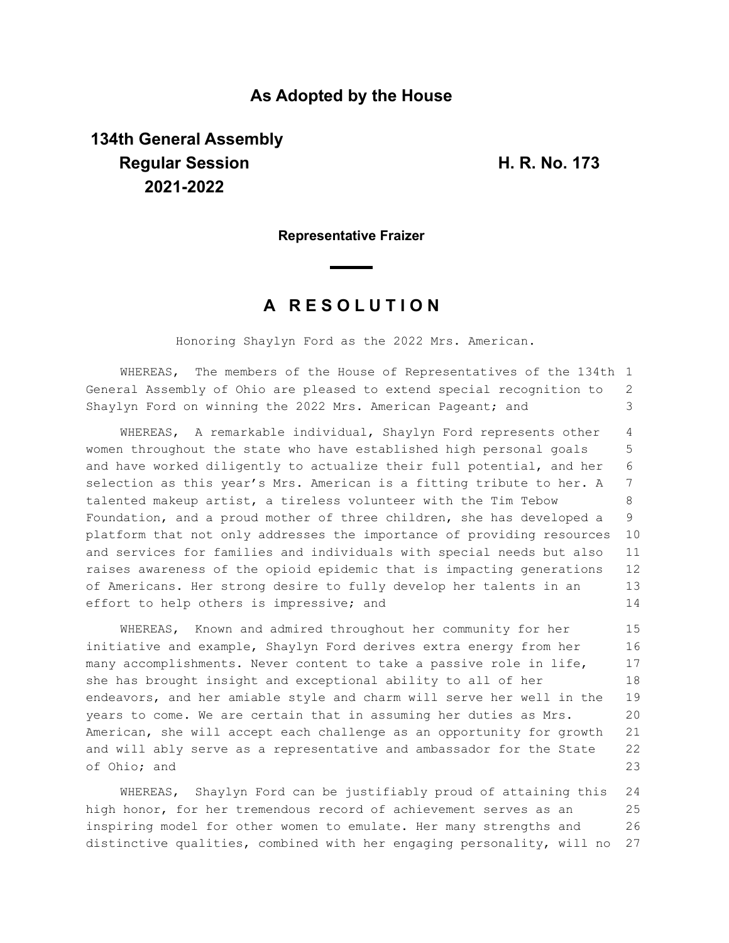## **As Adopted by the House**

# **134th General Assembly Regular Session H. R. No. 173 2021-2022**

#### **Representative Fraizer**

## **A R E S O L U T I O N**

Honoring Shaylyn Ford as the 2022 Mrs. American.

WHEREAS, The members of the House of Representatives of the 134th 1 General Assembly of Ohio are pleased to extend special recognition to Shaylyn Ford on winning the 2022 Mrs. American Pageant; and 2 3

WHEREAS, A remarkable individual, Shaylyn Ford represents other women throughout the state who have established high personal goals and have worked diligently to actualize their full potential, and her selection as this year's Mrs. American is a fitting tribute to her. A talented makeup artist, a tireless volunteer with the Tim Tebow Foundation, and a proud mother of three children, she has developed a platform that not only addresses the importance of providing resources and services for families and individuals with special needs but also raises awareness of the opioid epidemic that is impacting generations of Americans. Her strong desire to fully develop her talents in an effort to help others is impressive; and 4 5 6 7 8 9 10 11 12 13 14

WHEREAS, Known and admired throughout her community for her initiative and example, Shaylyn Ford derives extra energy from her many accomplishments. Never content to take a passive role in life, she has brought insight and exceptional ability to all of her endeavors, and her amiable style and charm will serve her well in the years to come. We are certain that in assuming her duties as Mrs. American, she will accept each challenge as an opportunity for growth and will ably serve as a representative and ambassador for the State of Ohio; and 15 16 17 18 19 20 21 22 23

WHEREAS, Shaylyn Ford can be justifiably proud of attaining this high honor, for her tremendous record of achievement serves as an inspiring model for other women to emulate. Her many strengths and distinctive qualities, combined with her engaging personality, will no 24 25 26 27